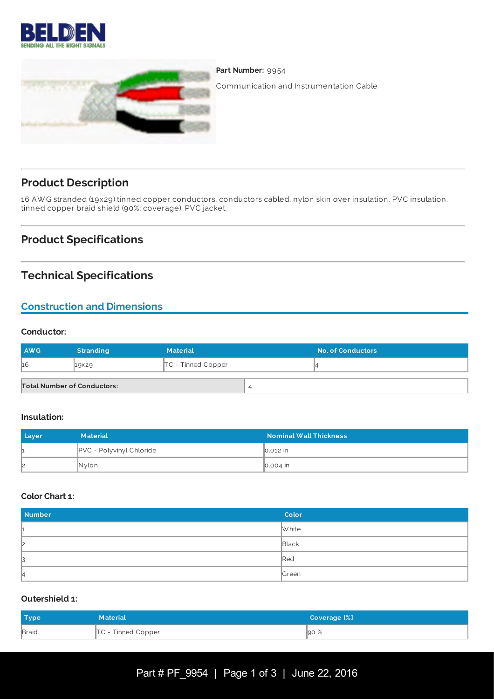



Part Number: 9954

Communication and Instrumentation Cable

# **Product Description**

16 AW G stranded (19x29) tinned copper conductors, conductors cabled, nylon skin over insulation, PVC insulation, tinned copper braid shield (90%; coverage), PVC jacket.

# **Product Specifications**

# **Technical Specifications**

# **Construction and Dimensions**

### **Conductor:**

| <b>AWG</b>                         | <b>Stranding</b> | <b>Material</b>      | <b>No. of Conductors</b> |
|------------------------------------|------------------|----------------------|--------------------------|
| 16                                 | 19×29            | $TC$ - Tinned Copper |                          |
| <b>Total Number of Conductors:</b> |                  |                      |                          |

#### **Insulation:**

| Layer | <b>Material</b>            | <b>Nominal Wall Thickness</b> |
|-------|----------------------------|-------------------------------|
|       | $PVC$ - Polyvinyl Chloride | lo.012 in                     |
| 12    | Nylon                      | $\big  0.004 \big $ in        |

#### **Color Chart 1:**

| <b>Number</b> | Color           |
|---------------|-----------------|
| ш             | White           |
| 2             | Black           |
| IЗ            | $\mathbb{R}$ ed |
| 14            | Green           |

#### **Outershield 1:**

| Type  | <b>Material</b>      | Coverage [%] |
|-------|----------------------|--------------|
| Braid | $TC$ - Tinned Copper | $\vert$ 90 % |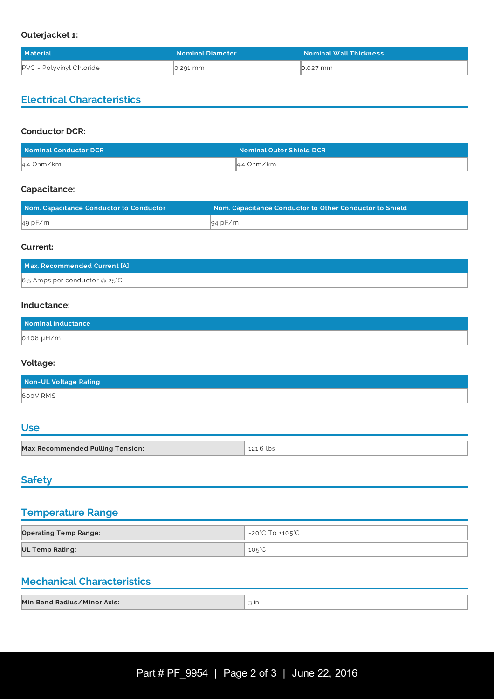#### **Outerjacket 1:**

| Material                        | <b>Nominal Diameter</b> | <b>Nominal Wall Thickness</b> |
|---------------------------------|-------------------------|-------------------------------|
| <b>PVC</b> - Polyvinyl Chloride | 0.291 mm                | 0.027 mm                      |

# **Electrical Characteristics**

#### **Conductor DCR:**

| Nominal Conductor DCR | <b>Nominal Outer Shield DCR</b> |
|-----------------------|---------------------------------|
| 4.4 Ohm/km            | 4.4 Ohm/km                      |

#### **Capacitance:**

| Nom. Capacitance Conductor to Conductor | Nom. Capacitance Conductor to Other Conductor to Shield |
|-----------------------------------------|---------------------------------------------------------|
| 49pF/m                                  | 94 pF/m                                                 |

#### **Current:**

| Max. Recommended Current [A]    |  |
|---------------------------------|--|
| $6.5$ Amps per conductor @ 25°C |  |

#### **Inductance:**

| Nominal Inductance |  |
|--------------------|--|
| $0.108 \mu H/m$    |  |

### **Voltage:**

| Non-UL Voltage Rating |  |
|-----------------------|--|
| 600V RMS              |  |

## **Use**

| Max Recommended<br><b>Tension:</b><br>Max Recommended Pulling $\top$ | lbs |
|----------------------------------------------------------------------|-----|

<u> 1989 - Johann Stoff, deutscher Stoffen und der Stoffen und der Stoffen und der Stoffen und der Stoffen und der</u>

# **Safety**

### **Temperature Range**

| <b>Operating Temp Range:</b> | -20°C To +105°C |
|------------------------------|-----------------|
| <b>UL Temp Rating:</b>       | $105^{\circ}$ C |

## **Mechanical Characteristics**

| Min Bend Radius/Minor Axis: | - Ir |
|-----------------------------|------|
|-----------------------------|------|